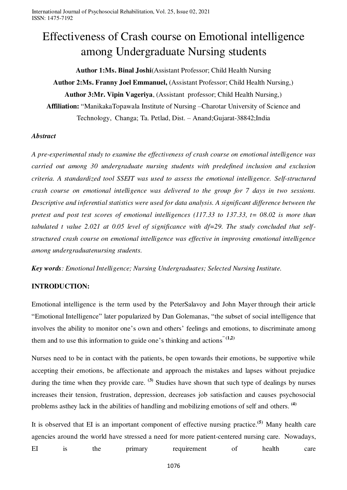# Effectiveness of Crash course on Emotional intelligence among Undergraduate Nursing students

**Author 1:Ms. Binal Joshi**(Assistant Professor; Child Health Nursing **Author 2:Ms. Franny Joel Emmanuel,** (Assistant Professor; Child Health Nursing,) **Author 3:Mr. Vipin Vageriya**, (Assistant professor; Child Health Nursing,) **Affiliation:** "ManikakaTopawala Institute of Nursing –Charotar University of Science and Technology, Changa; Ta. Petlad, Dist. – Anand;Gujarat-38842;India

#### *Abstract*

*A pre-experimental study to examine the effectiveness of crash course on emotional intelligence was carried out among 30 undergraduate nursing students with predefined inclusion and exclusion criteria. A standardized tool SSEIT was used to assess the emotional intelligence. Self-structured crash course on emotional intelligence was delivered to the group for 7 days in two sessions. Descriptive and inferential statistics were used for data analysis. A significant difference between the pretest and post test scores of emotional intelligences (117.33 to 137.33, t= 08.02 is more than tabulated t value 2.021 at 0.05 level of significance with df=29. The study concluded that selfstructured crash course on emotional intelligence was effective in improving emotional intelligence among undergraduatenursing students.* 

*Key words: Emotional Intelligence; Nursing Undergraduates; Selected Nursing Institute.*

### **INTRODUCTION:**

Emotional intelligence is the term used by the PeterSalavoy and John Mayer through their article "Emotional Intelligence" later popularized by Dan Golemanas, "the subset of social intelligence that involves the ability to monitor one's own and others' feelings and emotions, to discriminate among them and to use this information to guide one's thinking and actions" **(1,2)**

Nurses need to be in contact with the patients, be open towards their emotions, be supportive while accepting their emotions, be affectionate and approach the mistakes and lapses without prejudice during the time when they provide care. **(3)** Studies have shown that such type of dealings by nurses increases their tension, frustration, depression, decreases job satisfaction and causes psychosocial problems asthey lack in the abilities of handling and mobilizing emotions of self and others. **(4)**

It is observed that EI is an important component of effective nursing practice.**(5)** Many health care agencies around the world have stressed a need for more patient-centered nursing care. Nowadays, EI is the primary requirement of health care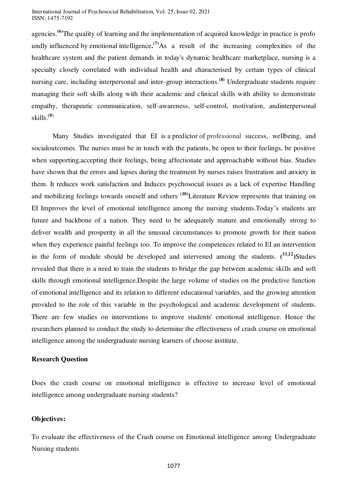agencies.**(6)**The quality of learning and the implementation of acquired knowledge in practice is profo undly influenced by emotional intelligence.<sup>(7)</sup>As a result of the increasing complexities of the healthcare system and the patient demands in today's dynamic healthcare marketplace, nursing is a specialty closely correlated with individual health and characterised by certain types of clinical nursing care, including interpersonal and inter-group interactions.**(8)** Undergraduate students require managing their soft skills along with their academic and clinical skills with ability to demonstrate empathy, therapeutic communication, self-awareness, self-control, motivation, andinterpersonal skills.**(9)**

Many Studies investigated that EI is a predictor of professional success, wellbeing, and socialoutcomes. The nurses must be in touch with the patients, be open to their feelings, be positive when supporting,accepting their feelings, being affectionate and approachable without bias. Studies have shown that the errors and lapses during the treatment by nurses raises frustration and anxiety in them. It reduces work satisfaction and Induces psychosocial issues as a lack of expertise Handling and mobilizing feelings towards oneself and others<sup>. (10)</sup>Literature Review represents that training on EI Improves the level of emotional intelligence among the nursing students.Today's students are future and backbone of a nation. They need to be adequately mature and emotionally strong to deliver wealth and prosperity in all the unusual circumstances to promote growth for their nation when they experience painful feelings too. To improve the competences related to EI an intervention in the form of module should be developed and intervened among the students.  $(^{11,12})$ Studies revealed that there is a need to train the students to bridge the gap between academic skills and soft skills through emotional intelligence.Despite the large volume of studies on the predictive function of emotional intelligence and its relation to different educational variables, and the growing attention provided to the role of this variable in the psychological and academic development of students. There are few studies on interventions to improve students' emotional intelligence. Hence the researchers planned to conduct the study to determine the effectiveness of crash course on emotional intelligence among the undergraduate nursing learners of choose institute.

### **Research Question**

Does the crash course on emotional intelligence is effective to increase level of emotional intelligence among undergraduate nursing students?

### **Objectives:**

To evaluate the effectiveness of the Crash course on Emotional intelligence among Undergraduate Nursing students

1077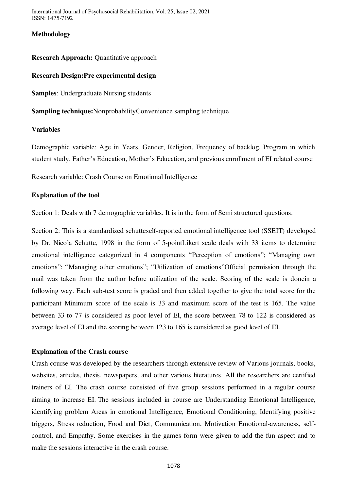### **Methodology**

#### **Research Approach:** Quantitative approach

### **Research Design:Pre experimental design**

**Samples**: Undergraduate Nursing students

**Sampling technique:**NonprobabilityConvenience sampling technique

#### **Variables**

Demographic variable: Age in Years, Gender, Religion, Frequency of backlog, Program in which student study, Father's Education, Mother's Education, and previous enrollment of EI related course

Research variable: Crash Course on Emotional Intelligence

### **Explanation of the tool**

Section 1: Deals with 7 demographic variables. It is in the form of Semi structured questions.

Section 2: This is a standardized schutteself-reported emotional intelligence tool (SSEIT) developed by Dr. Nicola Schutte, 1998 in the form of 5-pointLikert scale deals with 33 items to determine emotional intelligence categorized in 4 components "Perception of emotions"; "Managing own emotions"; "Managing other emotions"; "Utilization of emotions"Official permission through the mail was taken from the author before utilization of the scale. Scoring of the scale is donein a following way. Each sub-test score is graded and then added together to give the total score for the participant Minimum score of the scale is 33 and maximum score of the test is 165. The value between 33 to 77 is considered as poor level of EI, the score between 78 to 122 is considered as average level of EI and the scoring between 123 to 165 is considered as good level of EI.

#### **Explanation of the Crash course**

Crash course was developed by the researchers through extensive review of Various journals, books, websites, articles, thesis, newspapers, and other various literatures. All the researchers are certified trainers of EI. The crash course consisted of five group sessions performed in a regular course aiming to increase EI. The sessions included in course are Understanding Emotional Intelligence, identifying problem Areas in emotional Intelligence, Emotional Conditioning, Identifying positive triggers, Stress reduction, Food and Diet, Communication, Motivation Emotional-awareness, selfcontrol, and Empathy. Some exercises in the games form were given to add the fun aspect and to make the sessions interactive in the crash course.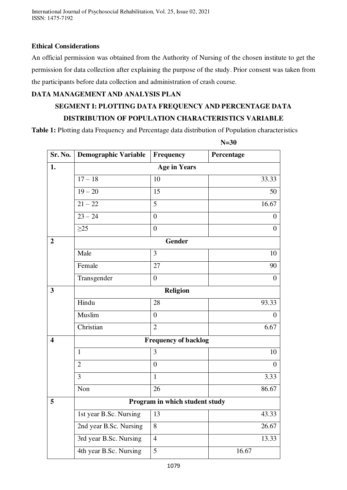### **Ethical Considerations**

An official permission was obtained from the Authority of Nursing of the chosen institute to get the permission for data collection after explaining the purpose of the study. Prior consent was taken from the participants before data collection and administration of crash course.

# **DATA MANAGEMENT AND ANALYSIS PLAN**

# **SEGMENT I: PLOTTING DATA FREQUENCY AND PERCENTAGE DATA DISTRIBUTION OF POPULATION CHARACTERISTICS VARIABLE**

**Table 1:** Plotting data Frequency and Percentage data distribution of Population characteristics

|                         | $N=30$                         |                     |                |  |
|-------------------------|--------------------------------|---------------------|----------------|--|
| Sr. No.                 | <b>Demographic Variable</b>    | Frequency           | Percentage     |  |
| 1.                      |                                | <b>Age in Years</b> |                |  |
|                         | $17 - 18$                      | 10                  | 33.33          |  |
|                         | $19 - 20$                      | 15                  | 50             |  |
|                         | $21 - 22$                      | 5                   | 16.67          |  |
|                         | $23 - 24$                      | $\overline{0}$      | $\overline{0}$ |  |
|                         | $\geq$ 25                      | $\boldsymbol{0}$    | $\theta$       |  |
| $\overline{2}$          |                                | Gender              |                |  |
|                         | Male                           | 3                   | 10             |  |
|                         | Female                         | 27                  | 90             |  |
|                         | Transgender                    | $\overline{0}$      | $\overline{0}$ |  |
| 3                       | <b>Religion</b>                |                     |                |  |
|                         | Hindu                          | 28                  | 93.33          |  |
|                         | Muslim                         | $\overline{0}$      | $\theta$       |  |
|                         | Christian                      | $\overline{2}$      | 6.67           |  |
| $\overline{\mathbf{4}}$ | <b>Frequency of backlog</b>    |                     |                |  |
|                         | $\mathbf{1}$                   | 3                   | 10             |  |
|                         | $\overline{2}$                 | $\boldsymbol{0}$    | $\overline{0}$ |  |
|                         | 3                              | $\mathbf{1}$        | 3.33           |  |
|                         | Non                            | 26                  | 86.67          |  |
| 5                       | Program in which student study |                     |                |  |
|                         | 1st year B.Sc. Nursing         | 13                  | 43.33          |  |
|                         | 2nd year B.Sc. Nursing         | $\overline{8}$      | 26.67          |  |
|                         | 3rd year B.Sc. Nursing         | $\overline{4}$      | 13.33          |  |
|                         | 4th year B.Sc. Nursing         | 5                   | 16.67          |  |
|                         |                                |                     |                |  |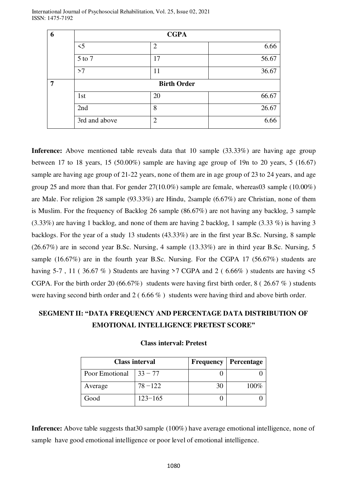| 6 | <b>CGPA</b>        |                |       |  |
|---|--------------------|----------------|-------|--|
|   | $\leq$ 5           | $\overline{2}$ | 6.66  |  |
|   | 5 to 7             | 17             | 56.67 |  |
|   | >7                 | 11             | 36.67 |  |
| 7 | <b>Birth Order</b> |                |       |  |
|   | 1st                | 20             | 66.67 |  |
|   | 2nd                | 8              | 26.67 |  |
|   | 3rd and above      | $\overline{2}$ | 6.66  |  |

**Inference:** Above mentioned table reveals data that 10 sample (33.33%) are having age group between 17 to 18 years, 15  $(50.00\%)$  sample are having age group of 19n to 20 years, 5  $(16.67)$ sample are having age group of 21-22 years, none of them are in age group of 23 to 24 years, and age group 25 and more than that. For gender 27(10.0%) sample are female, whereas03 sample (10.00%) are Male. For religion 28 sample (93.33%) are Hindu, 2sample (6.67%) are Christian, none of them is Muslim. For the frequency of Backlog 26 sample (86.67%) are not having any backlog, 3 sample (3.33%) are having 1 backlog, and none of them are having 2 backlog, 1 sample (3.33 %) is having 3 backlogs. For the year of a study 13 students (43.33%) are in the first year B.Sc. Nursing, 8 sample (26.67%) are in second year B.Sc. Nursing, 4 sample (13.33%) are in third year B.Sc. Nursing, 5 sample (16.67%) are in the fourth year B.Sc. Nursing. For the CGPA 17 (56.67%) students are having 5-7, 11 (36.67 %) Students are having  $>7$  CGPA and 2 (6.66%) students are having  $\leq 5$ CGPA. For the birth order 20 (66.67%) students were having first birth order,  $8$  (26.67%) students were having second birth order and 2 ( 6.66 % ) students were having third and above birth order.

# **SEGMENT II: "DATA FREQUENCY AND PERCENTAGE DATA DISTRIBUTION OF EMOTIONAL INTELLIGENCE PRETEST SCORE"**

| <b>Class interval</b> |             |    | <b>Frequency   Percentage</b> |
|-----------------------|-------------|----|-------------------------------|
| Poor Emotional        | $33 - 77$   |    |                               |
| Average               | $78 - 122$  | 30 | $100\%$                       |
| Good                  | $123 - 165$ |    |                               |

#### **Class interval: Pretest**

Inference: Above table suggests that 30 sample (100%) have average emotional intelligence, none of sample have good emotional intelligence or poor level of emotional intelligence.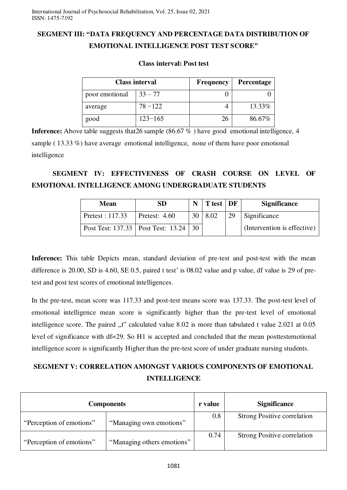# **SEGMENT III: "DATA FREQUENCY AND PERCENTAGE DATA DISTRIBUTION OF EMOTIONAL INTELLIGENCE POST TEST SCORE"**

### **Class interval: Post test**

|                | <b>Class interval</b> | <b>Frequency</b> | <b>Percentage</b> |
|----------------|-----------------------|------------------|-------------------|
| poor emotional | $33 - 77$             |                  |                   |
| average        | $78 - 122$            |                  | 13.33%            |
| good           | $123 - 165$           | 26               | 86.67%            |

**Inference:** Above table suggests that 26 sample (86.67 %) have good emotional intelligence, 4 sample ( 13.33 %) have average emotional intelligence, none of them have poor emotional intelligence

# **SEGMENT IV: EFFECTIVENESS OF CRASH COURSE ON LEVEL OF EMOTIONAL INTELLIGENCE AMONG UNDERGRADUATE STUDENTS**

| Mean                                 | SD              |    | $\vert$ T test $\vert$ DF |    | <b>Significance</b>         |
|--------------------------------------|-----------------|----|---------------------------|----|-----------------------------|
| Pretest : $117.33$                   | Pretest: $4.60$ |    | 30   8.02                 | 29 | Significance                |
| Post Test: 137.33   Post Test: 13.24 |                 | 30 |                           |    | (Intervention is effective) |

Inference: This table Depicts mean, standard deviation of pre-test and post-test with the mean difference is 20.00, SD is 4.60, SE 0.5, paired t test' is 08.02 value and p value, df value is 29 of pretest and post test scores of emotional intelligences.

In the pre-test, mean score was 117.33 and post-test means score was 137.33. The post-test level of emotional intelligence mean score is significantly higher than the pre-test level of emotional intelligence score. The paired "t" calculated value 8.02 is more than tabulated t value 2.021 at 0.05 level of significance with df=29. So H1 is accepted and concluded that the mean posttestemotional intelligence score is significantly Higher than the pre-test score of under graduate nursing students.

# **SEGMENT V: CORRELATION AMONGST VARIOUS COMPONENTS OF EMOTIONAL INTELLIGENCE**

| <b>Components</b>        |                            |      | <b>Significance</b>                |
|--------------------------|----------------------------|------|------------------------------------|
| "Perception of emotions" | "Managing own emotions"    | 0.8  | <b>Strong Positive correlation</b> |
| "Perception of emotions" | "Managing others emotions" | 0.74 | <b>Strong Positive correlation</b> |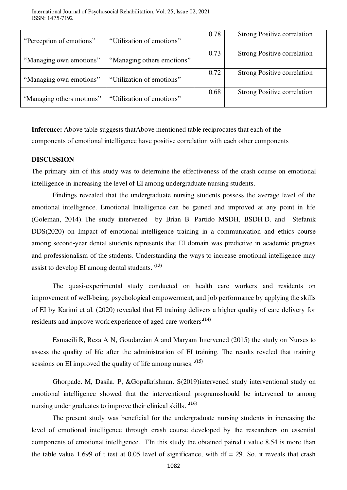| "Perception of emotions"  | "Utilization of emotions"  | 0.78 | <b>Strong Positive correlation</b> |
|---------------------------|----------------------------|------|------------------------------------|
| "Managing own emotions"   | "Managing others emotions" | 0.73 | <b>Strong Positive correlation</b> |
| "Managing own emotions"   | "Utilization of emotions"  | 0.72 | <b>Strong Positive correlation</b> |
| 'Managing others motions" | "Utilization of emotions"  | 0.68 | <b>Strong Positive correlation</b> |

**Inference:** Above table suggests thatAbove mentioned table reciprocates that each of the components of emotional intelligence have positive correlation with each other components

### **DISCUSSION**

The primary aim of this study was to determine the effectiveness of the crash course on emotional intelligence in increasing the level of EI among undergraduate nursing students.

Findings revealed that the undergraduate nursing students possess the average level of the emotional intelligence. Emotional Intelligence can be gained and improved at any point in life (Goleman, 2014). The study intervened by [Brian B. Partido MSDH, BSDH](https://onlinelibrary.wiley.com/action/doSearch?ContribAuthorStored=Partido%2C+Brian+B) [D. and Stefanik](https://onlinelibrary.wiley.com/action/doSearch?ContribAuthorStored=Stefanik%2C+Dawne)  [DDS\(](https://onlinelibrary.wiley.com/action/doSearch?ContribAuthorStored=Stefanik%2C+Dawne)2020) on Impact of emotional intelligence training in a communication and ethics course among second‐year dental students represents that EI domain was predictive in academic progress and professionalism of the students. Understanding the ways to increase emotional intelligence may assist to develop EI among dental students. **(13)**

The quasi-experimental study conducted on health care workers and residents on improvement of well-being, psychological empowerment, and job performance by applying the skills of EI by Karimi et al. (2020) revealed that EI training delivers a higher quality of care delivery for residents and improve work experience of aged care workers**.(14**)

Esmaeili R, Reza A N, Goudarzian A and Maryam Intervened (2015) the study on Nurses to assess the quality of life after the administration of EI training. The results reveled that training sessions on EI improved the quality of life among nurses.  $(15)$ 

Ghorpade. M, Dasila. P, &Gopalkrishnan. S(2019)intervened study interventional study on emotional intelligence showed that the interventional programsshould be intervened to among nursing under graduates to improve their clinical skills.  $(16)$ 

The present study was beneficial for the undergraduate nursing students in increasing the level of emotional intelligence through crash course developed by the researchers on essential components of emotional intelligence. TIn this study the obtained paired t value 8.54 is more than the table value 1.699 of t test at 0.05 level of significance, with  $df = 29$ . So, it reveals that crash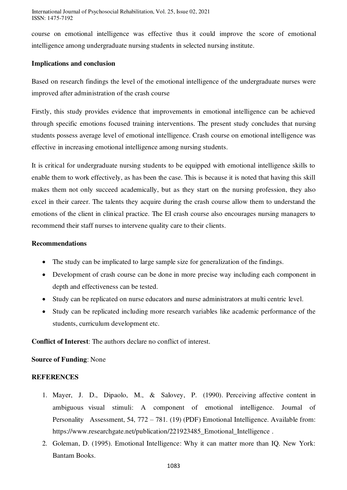course on emotional intelligence was effective thus it could improve the score of emotional intelligence among undergraduate nursing students in selected nursing institute.

### **Implications and conclusion**

Based on research findings the level of the emotional intelligence of the undergraduate nurses were improved after administration of the crash course

Firstly, this study provides evidence that improvements in emotional intelligence can be achieved through specific emotions focused training interventions. The present study concludes that nursing students possess average level of emotional intelligence. Crash course on emotional intelligence was effective in increasing emotional intelligence among nursing students.

It is critical for undergraduate nursing students to be equipped with emotional intelligence skills to enable them to work effectively, as has been the case. This is because it is noted that having this skill makes them not only succeed academically, but as they start on the nursing profession, they also excel in their career. The talents they acquire during the crash course allow them to understand the emotions of the client in clinical practice. The EI crash course also encourages nursing managers to recommend their staff nurses to intervene quality care to their clients.

### **Recommendations**

- The study can be implicated to large sample size for generalization of the findings.
- Development of crash course can be done in more precise way including each component in depth and effectiveness can be tested.
- Study can be replicated on nurse educators and nurse administrators at multi centric level.
- Study can be replicated including more research variables like academic performance of the students, curriculum development etc.

**Conflict of Interest**: The authors declare no conflict of interest.

# **Source of Funding**: None

# **REFERENCES**

- 1. Mayer, J. D., Dipaolo, M., & Salovey, P. (1990). Perceiving affective content in ambiguous visual stimuli: A component of emotional intelligence. Journal of Personality Assessment, 54, 772 – 781. (19) (PDF) Emotional Intelligence. Available from: https://www.researchgate.net/publication/221923485\_Emotional\_Intelligence.
- 2. Goleman, D. (1995). Emotional Intelligence: Why it can matter more than IQ. New York: Bantam Books.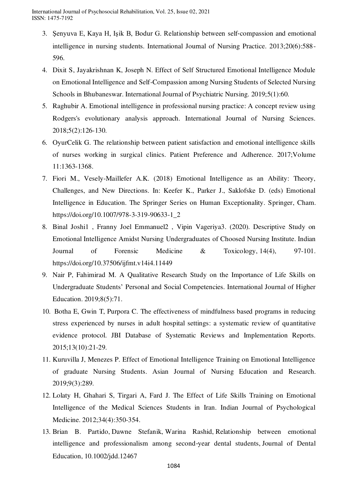- 3. Şenyuva E, Kaya H, Işik B, Bodur G. Relationship between self‐compassion and emotional intelligence in nursing students. International Journal of Nursing Practice. 2013;20(6):588- 596.
- 4. Dixit S, Jayakrishnan K, Joseph N. Effect of Self Structured Emotional Intelligence Module on Emotional Intelligence and Self-Compassion among Nursing Students of Selected Nursing Schools in Bhubaneswar. International Journal of Psychiatric Nursing. 2019;5(1):60.
- 5. Raghubir A. Emotional intelligence in professional nursing practice: A concept review using Rodgers's evolutionary analysis approach. International Journal of Nursing Sciences. 2018;5(2):126-130.
- 6. OyurCelik G. The relationship between patient satisfaction and emotional intelligence skills of nurses working in surgical clinics. Patient Preference and Adherence. 2017;Volume 11:1363-1368.
- 7. Fiori M., Vesely-Maillefer A.K. (2018) Emotional Intelligence as an Ability: Theory, Challenges, and New Directions. In: Keefer K., Parker J., Saklofske D. (eds) Emotional Intelligence in Education. The Springer Series on Human Exceptionality. Springer, Cham. [https://doi.org/10.1007/978-3-319-90633-1\\_2](https://doi.org/10.1007/978-3-319-90633-1_2)
- 8. Binal Joshi1 , Franny Joel Emmanuel2 , Vipin Vageriya3. (2020). Descriptive Study on Emotional Intelligence Amidst Nursing Undergraduates of Choosed Nursing Institute. Indian Journal of Forensic Medicine & Toxicology, 14(4), 97-101. https://doi.org/10.37506/ijfmt.v14i4.11449
- 9. Nair P, Fahimirad M. A Qualitative Research Study on the Importance of Life Skills on Undergraduate Students' Personal and Social Competencies. International Journal of Higher Education. 2019;8(5):71.
- 10. Botha E, Gwin T, Purpora C. The effectiveness of mindfulness based programs in reducing stress experienced by nurses in adult hospital settings: a systematic review of quantitative evidence protocol. JBI Database of Systematic Reviews and Implementation Reports. 2015;13(10):21-29.
- 11. Kuruvilla J, Menezes P. Effect of Emotional Intelligence Training on Emotional Intelligence of graduate Nursing Students. Asian Journal of Nursing Education and Research. 2019;9(3):289.
- 12. Lolaty H, Ghahari S, Tirgari A, Fard J. The Effect of Life Skills Training on Emotional Intelligence of the Medical Sciences Students in Iran. Indian Journal of Psychological Medicine. 2012;34(4):350-354.
- 13. Brian B. Partido, Dawne Stefanik, Warina Rashid, Relationship between emotional intelligence and professionalism among second‐year dental students, Journal of Dental Education, 10.1002/jdd.12467